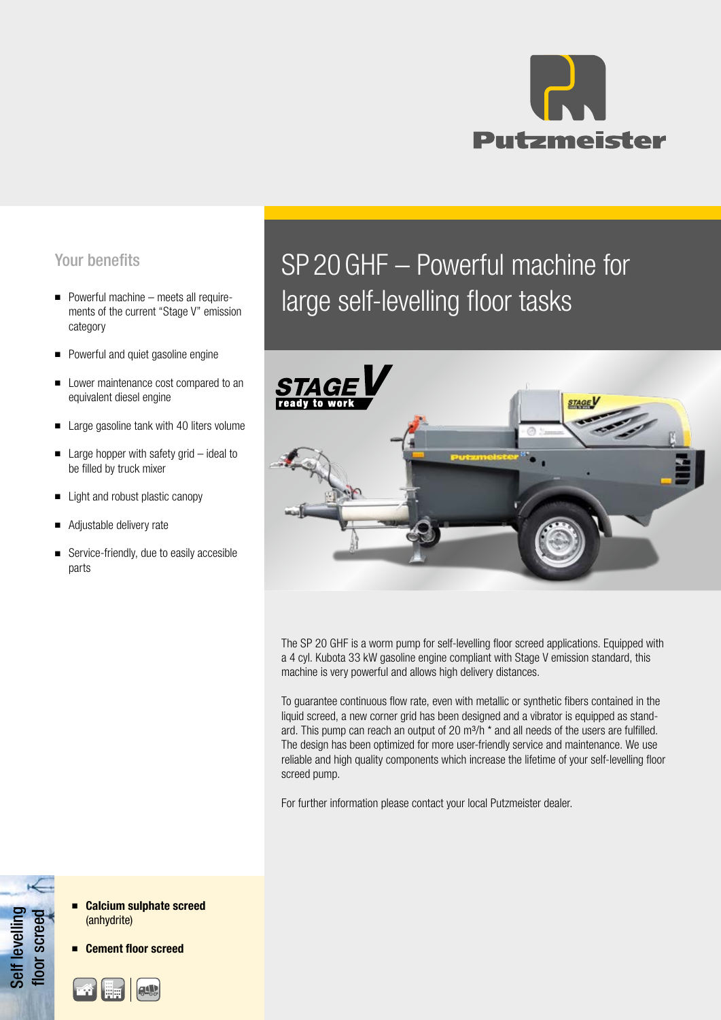

## Your benefits

- Powerful machine meets all requirements of the current "Stage V" emission category
- Powerful and quiet gasoline engine
- Lower maintenance cost compared to an equivalent diesel engine
- Large gasoline tank with 40 liters volume
- Large hopper with safety grid ideal to be filled by truck mixer
- Light and robust plastic canopy
- Adjustable delivery rate
- Service-friendly, due to easily accesible parts

# SP 20GHF – Powerful machine for large self-levelling floor tasks



The SP 20 GHF is a worm pump for self-levelling floor screed applications. Equipped with a 4 cyl. Kubota 33 kW gasoline engine compliant with Stage V emission standard, this machine is very powerful and allows high delivery distances.

To guarantee continuous flow rate, even with metallic or synthetic fibers contained in the liquid screed, a new corner grid has been designed and a vibrator is equipped as standard. This pump can reach an output of 20  $m^3/h$  \* and all needs of the users are fulfilled. The design has been optimized for more user-friendly service and maintenance. We use reliable and high quality components which increase the lifetime of your self-levelling floor screed pump.

For further information please contact your local Putzmeister dealer.

Self levelling Self levelling floor screed loor screed



**Cement floor screed**